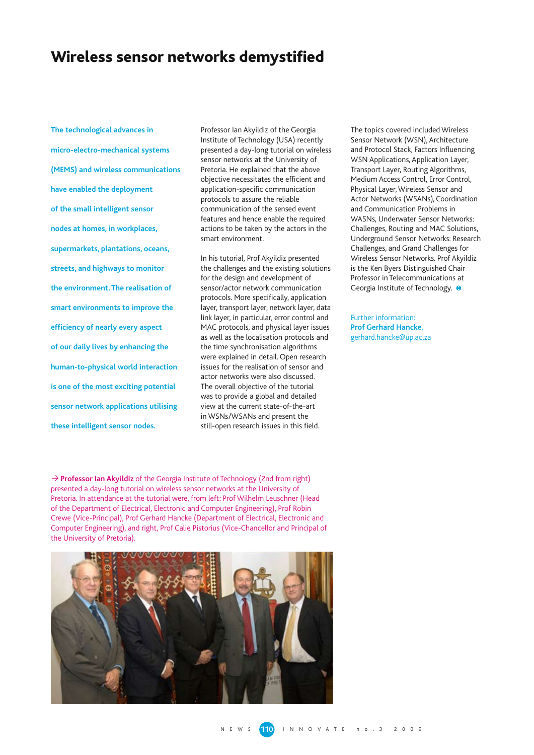## Wireless sensor networks demystified

**The technological advances in micro-electro-mechanical systems (MEMS) and wireless communications have enabled the deployment of the small intelligent sensor nodes at homes, in workplaces, supermarkets, plantations, oceans, streets, and highways to monitor the environment. The realisation of smart environments to improve the efficiency of nearly every aspect of our daily lives by enhancing the human-to-physical world interaction is one of the most exciting potential sensor network applications utilising these intelligent sensor nodes.** 

Professor Ian Akyildiz of the Georgia Institute of Technology (USA) recently presented a day-long tutorial on wireless sensor networks at the University of Pretoria. He explained that the above objective necessitates the efficient and application-specific communication protocols to assure the reliable communication of the sensed event features and hence enable the required actions to be taken by the actors in the smart environment.

In his tutorial, Prof Akyildiz presented the challenges and the existing solutions for the design and development of sensor/actor network communication protocols. More specifically, application layer, transport layer, network layer, data link layer, in particular, error control and MAC protocols, and physical layer issues as well as the localisation protocols and the time synchronisation algorithms were explained in detail. Open research issues for the realisation of sensor and actor networks were also discussed. The overall objective of the tutorial was to provide a global and detailed view at the current state-of-the-art in WSNs/WSANs and present the still-open research issues in this field.

The topics covered included Wireless Sensor Network (WSN), Architecture and Protocol Stack, Factors Influencing WSN Applications, Application Layer, Transport Layer, Routing Algorithms, Medium Access Control, Error Control, Physical Layer, Wireless Sensor and Actor Networks (WSANs), Coordination and Communication Problems in WASNs, Underwater Sensor Networks: Challenges, Routing and MAC Solutions, Underground Sensor Networks: Research Challenges, and Grand Challenges for Wireless Sensor Networks. Prof Akyildiz is the Ken Byers Distinguished Chair Professor in Telecommunications at Georgia Institute of Technology.  $\Theta$ 

Further information: **Prof Gerhard Hancke**, gerhard.hancke@up.ac.za

→ **Professor Ian Akyildiz** of the Georgia Institute of Technology (2nd from right) presented a day-long tutorial on wireless sensor networks at the University of Pretoria. In attendance at the tutorial were, from left: Prof Wilhelm Leuschner (Head of the Department of Electrical, Electronic and Computer Engineering), Prof Robin Crewe (Vice-Principal), Prof Gerhard Hancke (Department of Electrical, Electronic and Computer Engineering), and right, Prof Calie Pistorius (Vice-Chancellor and Principal of the University of Pretoria).